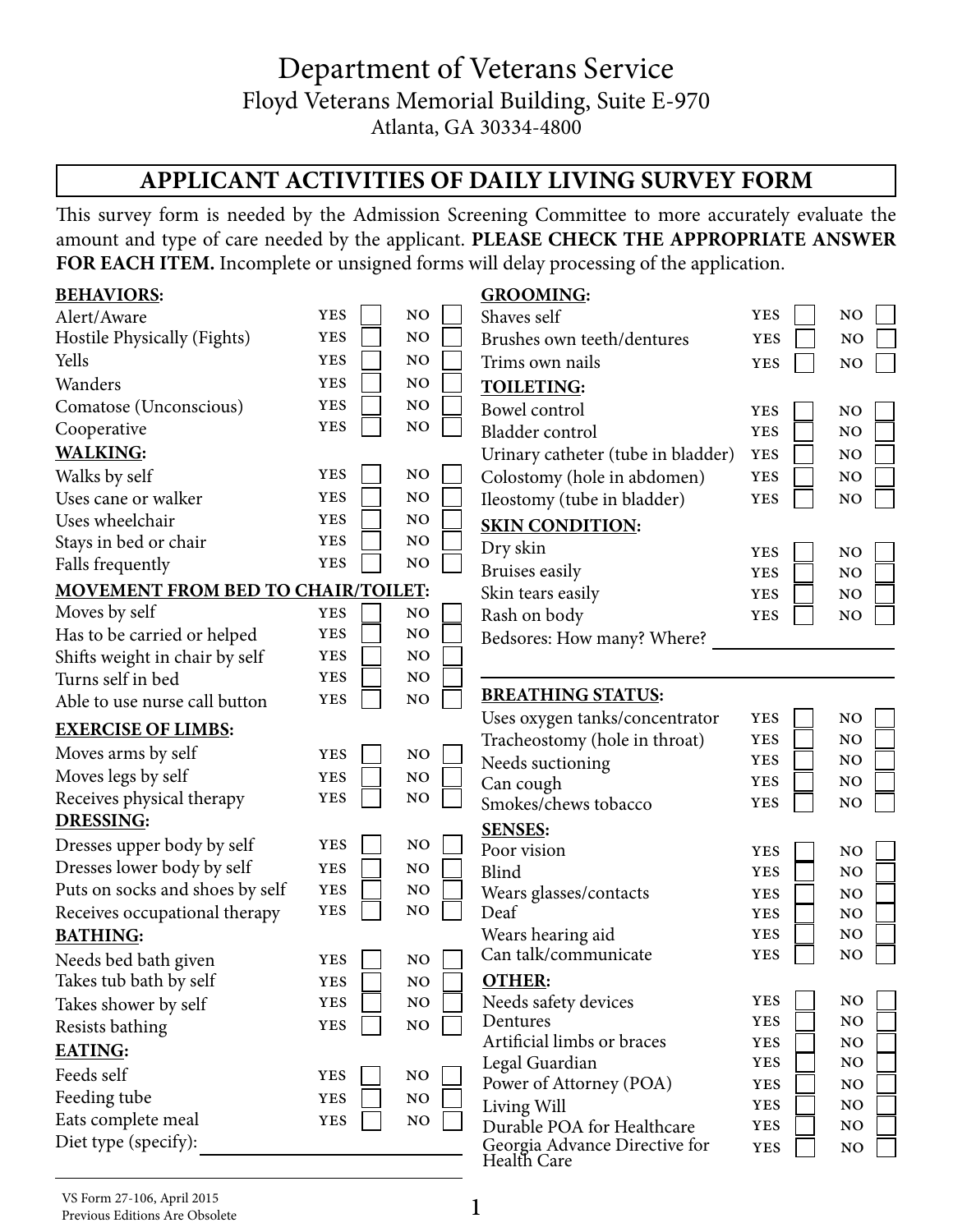## Department of Veterans Service Floyd Veterans Memorial Building, Suite E-970 Atlanta, GA 30334-4800

## **APPLICANT ACTIVITIES OF DAILY LIVING SURVEY FORM**

This survey form is needed by the Admission Screening Committee to more accurately evaluate the amount and type of care needed by the applicant. **PLEASE CHECK THE APPROPRIATE ANSWER FOR EACH ITEM.** Incomplete or unsigned forms will delay processing of the application.

| <b>BEHAVIORS:</b>                         |            |                | <b>GROOMING:</b>                                            |                          |                       |
|-------------------------------------------|------------|----------------|-------------------------------------------------------------|--------------------------|-----------------------|
| Alert/Aware                               | <b>YES</b> | NO             | Shaves self                                                 | <b>YES</b>               | NO                    |
| Hostile Physically (Fights)               | <b>YES</b> | NO             | Brushes own teeth/dentures                                  | <b>YES</b>               | N <sub>O</sub>        |
| Yells                                     | <b>YES</b> | NO             | Trims own nails                                             | <b>YES</b>               | N <sub>O</sub>        |
| Wanders                                   | <b>YES</b> | N <sub>O</sub> | <b>TOILETING:</b>                                           |                          |                       |
| Comatose (Unconscious)                    | <b>YES</b> | NO             | Bowel control                                               | <b>YES</b>               | N <sub>O</sub>        |
| Cooperative                               | <b>YES</b> | NO             | Bladder control                                             | <b>YES</b>               | N <sub>O</sub>        |
| <b>WALKING:</b>                           |            |                | Urinary catheter (tube in bladder)                          | <b>YES</b>               | N <sub>O</sub>        |
| Walks by self                             | <b>YES</b> | NO             | Colostomy (hole in abdomen)                                 | <b>YES</b>               | NO                    |
| Uses cane or walker                       | <b>YES</b> | NO             | Ileostomy (tube in bladder)                                 | <b>YES</b>               | NO                    |
| Uses wheelchair                           | <b>YES</b> | NO             | <b>SKIN CONDITION:</b>                                      |                          |                       |
| Stays in bed or chair                     | <b>YES</b> | $\rm NO$       | Dry skin                                                    | <b>YES</b>               | NO                    |
| Falls frequently                          | <b>YES</b> | NO             | Bruises easily                                              | <b>YES</b>               | NO                    |
| <b>MOVEMENT FROM BED TO CHAIR/TOILET:</b> |            |                | Skin tears easily                                           | <b>YES</b>               | N <sub>O</sub>        |
| Moves by self                             | <b>YES</b> | NO             | Rash on body                                                | <b>YES</b>               | NO                    |
| Has to be carried or helped               | <b>YES</b> | NO             | Bedsores: How many? Where?                                  |                          |                       |
| Shifts weight in chair by self            | <b>YES</b> | N <sub>O</sub> |                                                             |                          |                       |
| Turns self in bed                         | <b>YES</b> | NO             |                                                             |                          |                       |
| Able to use nurse call button             | <b>YES</b> | NO             | <b>BREATHING STATUS:</b>                                    |                          |                       |
| <b>EXERCISE OF LIMBS:</b>                 |            |                | Uses oxygen tanks/concentrator                              | <b>YES</b>               | $\rm NO$              |
| Moves arms by self                        | <b>YES</b> | NO             | Tracheostomy (hole in throat)                               | <b>YES</b>               | N <sub>O</sub>        |
| Moves legs by self                        | <b>YES</b> | NO             | Needs suctioning                                            | <b>YES</b><br><b>YES</b> | N <sub>O</sub><br>NO. |
| Receives physical therapy                 | <b>YES</b> | NO             | Can cough<br>Smokes/chews tobacco                           | <b>YES</b>               | N <sub>O</sub>        |
| <b>DRESSING:</b>                          |            |                |                                                             |                          |                       |
| Dresses upper body by self                | <b>YES</b> | NO             | <b>SENSES:</b><br>Poor vision                               | <b>YES</b>               | NO                    |
| Dresses lower body by self                | <b>YES</b> | NO             | Blind                                                       | <b>YES</b>               | NO                    |
| Puts on socks and shoes by self           | <b>YES</b> | N <sub>O</sub> | Wears glasses/contacts                                      | <b>YES</b>               | N <sub>O</sub>        |
| Receives occupational therapy             | <b>YES</b> | NO             | Deaf                                                        | <b>YES</b>               | N <sub>O</sub>        |
| <b>BATHING:</b>                           |            |                | Wears hearing aid                                           | <b>YES</b>               | N <sub>O</sub>        |
| Needs bed bath given                      | <b>YES</b> | NO             | Can talk/communicate                                        | <b>YES</b>               | N <sub>O</sub>        |
| Takes tub bath by self                    | <b>YES</b> | $\rm NO$       | <b>OTHER:</b>                                               |                          |                       |
| Takes shower by self                      | <b>YES</b> | NO             | Needs safety devices                                        | <b>YES</b>               | NO                    |
| Resists bathing                           | <b>YES</b> | $\rm NO$       | Dentures                                                    | <b>YES</b>               | NO                    |
| <b>EATING:</b>                            |            |                | Artificial limbs or braces                                  | <b>YES</b>               | $\rm NO$              |
| Feeds self                                | <b>YES</b> | $\rm NO$       | Legal Guardian                                              | <b>YES</b>               | N <sub>O</sub>        |
| Feeding tube                              | <b>YES</b> | $\rm NO$       | Power of Attorney (POA)                                     | <b>YES</b>               | NO.                   |
| Eats complete meal                        | <b>YES</b> | $\rm NO$       | Living Will                                                 | <b>YES</b>               | N <sub>O</sub>        |
| Diet type (specify):                      |            |                | Durable POA for Healthcare<br>Georgia Advance Directive for | <b>YES</b>               | N <sub>O</sub>        |
|                                           |            |                | Health Care                                                 | <b>YES</b>               | NO                    |